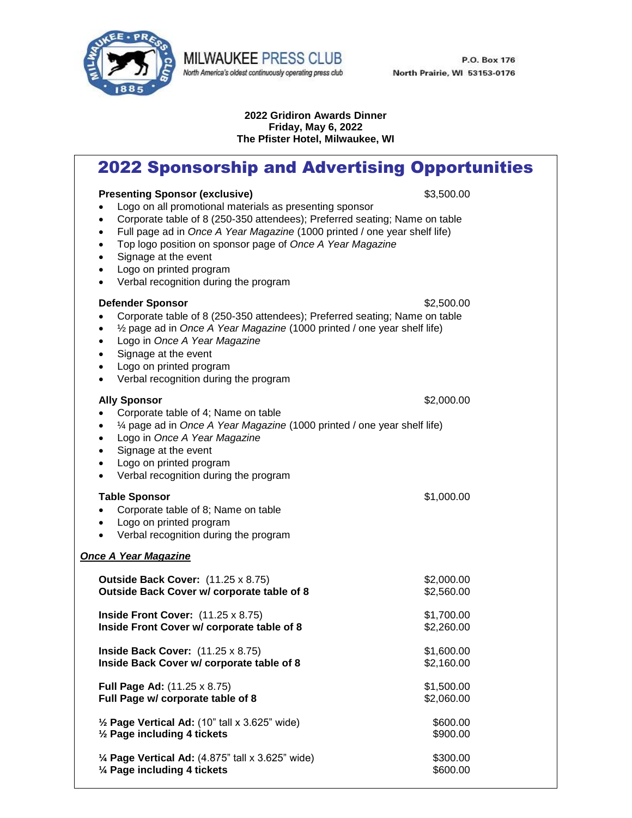

MILWAUKEE PRESS CLUB North America's oldest continuously operating press club

P.O. Box 176 North Prairie, WI 53153-0176

#### **2022 Gridiron Awards Dinner Friday, May 6, 2022 The Pfister Hotel, Milwaukee, WI**

# 2022 Sponsorship and Advertising Opportunities

#### **Presenting Sponsor (exclusive) 1999 1999 1999 1999 1999 1999 1999 1999 1999 1999 1999 1999 1999 1999 1999 1999 1999 1999 1999 1999 1999 1999 1999 1999 1999 1999 1999** Logo on all promotional materials as presenting sponsor

- Corporate table of 8 (250-350 attendees); Preferred seating; Name on table
- Full page ad in *Once A Year Magazine* (1000 printed / one year shelf life)
- Top logo position on sponsor page of *Once A Year Magazine*
- Signage at the event
- Logo on printed program
- Verbal recognition during the program

## **Defender Sponsor** \$2,500.00

- Corporate table of 8 (250-350 attendees); Preferred seating; Name on table
- ½ page ad in *Once A Year Magazine* (1000 printed / one year shelf life)
	- Logo in *Once A Year Magazine*
	- Signage at the event
	- Logo on printed program
	- Verbal recognition during the program

# **Ally Sponsor**  $\frac{1}{2}$  **Ally Sponsor**  Corporate table of 4; Name on table ¼ page ad in *Once A Year Magazine* (1000 printed / one year shelf life) Logo in *Once A Year Magazine* Signage at the event Logo on printed program Verbal recognition during the program **Table Sponsor**  $$1,000.00$  Corporate table of 8; Name on table Logo on printed program • Verbal recognition during the program *Once A Year Magazine* **Outside Back Cover:** (11.25 x 8.75) \$2,000.00 **Outside Back Cover w/ corporate table of 8** \$2,560.00 **Inside Front Cover:**  $(11.25 \times 8.75)$  \$1,700.00 **Inside Front Cover w/ corporate table of 8**  $$2,260.00$ **Inside Back Cover:** (11.25 x 8.75) \$1,600.00 **Inside Back Cover w/ corporate table of 8 bigger and S2,160.00**

- **Full Page Ad:** (11.25 x 8.75) \$1,500.00 **Full Page w/ corporate table of 8**  $$2,060.00$
- $\frac{1}{2}$  **Page Vertical Ad:** (10" tall x 3.625" wide) \$600.00  $\frac{1}{2}$  **Page including 4 tickets \$900.00**
- **¼ Page Vertical Ad:** (4.875" tall x 3.625" wide) \$300.00 **¼ Page including 4 tickets** \$600.00